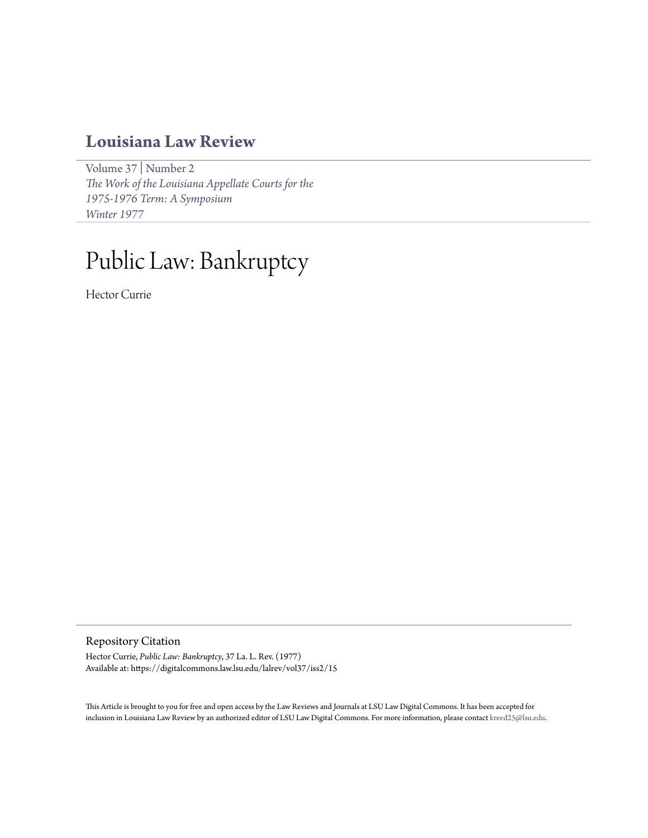## **[Louisiana Law Review](https://digitalcommons.law.lsu.edu/lalrev)**

[Volume 37](https://digitalcommons.law.lsu.edu/lalrev/vol37) | [Number 2](https://digitalcommons.law.lsu.edu/lalrev/vol37/iss2) *[The Work of the Louisiana Appellate Courts for the](https://digitalcommons.law.lsu.edu/lalrev/vol37/iss2) [1975-1976 Term: A Symposium](https://digitalcommons.law.lsu.edu/lalrev/vol37/iss2) [Winter 1977](https://digitalcommons.law.lsu.edu/lalrev/vol37/iss2)*

# Public Law: Bankruptcy

Hector Currie

Repository Citation

Hector Currie, *Public Law: Bankruptcy*, 37 La. L. Rev. (1977) Available at: https://digitalcommons.law.lsu.edu/lalrev/vol37/iss2/15

This Article is brought to you for free and open access by the Law Reviews and Journals at LSU Law Digital Commons. It has been accepted for inclusion in Louisiana Law Review by an authorized editor of LSU Law Digital Commons. For more information, please contact [kreed25@lsu.edu](mailto:kreed25@lsu.edu).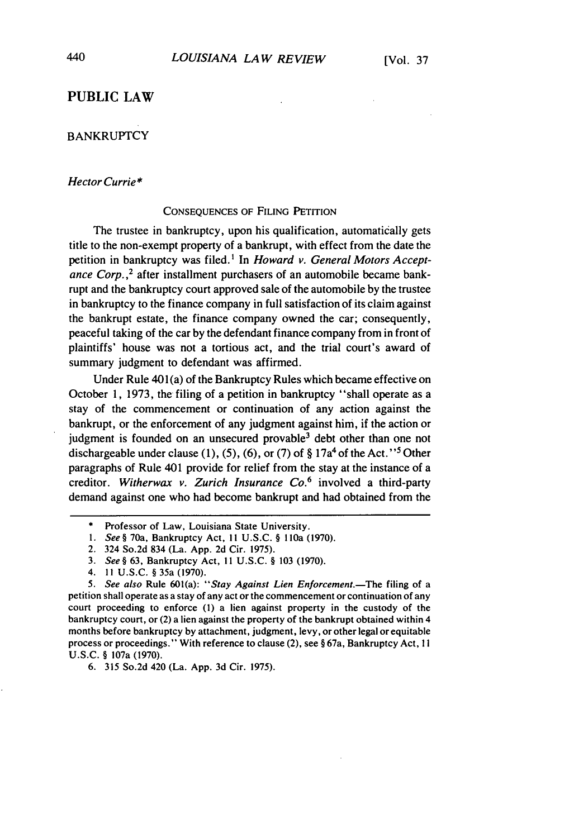### **PUBLIC LAW**

#### **BANKRUPTCY**

#### *Hector Currie\**

#### **CONSEQUENCES** OF **FILING** PETITION

The trustee in bankruptcy, upon his qualification, automatically gets title to the non-exempt property of a bankrupt, with effect from the date the petition in bankruptcy was filed.' In *Howard v. General Motors Acceptance Corp.,2* after installment purchasers of an automobile became bankrupt and the bankruptcy court approved sale of the automobile by the trustee in bankruptcy to the finance company in full satisfaction of its claim against the bankrupt estate, the finance company owned the car; consequently, peaceful taking of the car by the defendant finance company from in front of plaintiffs' house was not a tortious act, and the trial court's award of summary judgment to defendant was affirmed.

Under Rule 401(a) of the Bankruptcy Rules which became effective on October **1,** 1973, the filing of a petition in bankruptcy "shall operate as a stay of the commencement or continuation of any action against the bankrupt, or the enforcement of any judgment against him, if the action or judgment is founded on an unsecured provable<sup>3</sup> debt other than one not dischargeable under clause (1), (5), (6), or (7) of  $\S 17a<sup>4</sup>$  of the Act."<sup>5</sup> Other paragraphs of Rule 401 provide for relief from the stay at the instance of a creditor. *Witherwax v. Zurich Insurance Co.6* involved a third-party demand against one who had become bankrupt and had obtained from the

- *1.* See§ 70a, Bankruptcy Act, **II** U.S.C. § l10a (1970).
- 2. 324 So.2d 834 (La. App. 2d Cir. 1975).
- 3. *See §* **63,** Bankruptcy Act, **I** 1 U.S.C. § 103 (1970).
- 4. 11 U.S.C. § 35a (1970).

6. 315 So.2d 420 (La. App. 3d Cir. 1975).

Professor of Law, Louisiana State University.

<sup>5.</sup> See also Rule 601(a): "Stay Against Lien Enforcement.-The filing of a petition shall operate as a stay of any act or the commencement or continuation of any court proceeding to enforce (1) a lien against property in the custody of the bankruptcy court, or (2) a lien against the property of the bankrupt obtained within 4 months before bankruptcy by attachment, judgment, levy, or other legal or equitable process or proceedings." With reference to clause (2), see § 67a, Bankruptcy Act, **I** I U.S.C. § 107a (1970).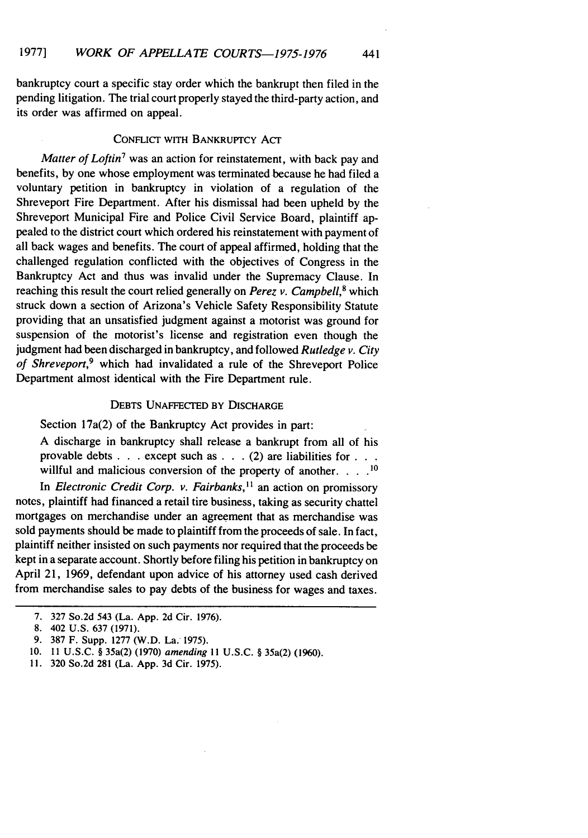bankruptcy court a specific stay order which the bankrupt then filed in the pending litigation. The trial court properly stayed the third-party action, and its order was affirmed on appeal.

#### CONFLICT WITH BANKRUPTCY ACT

*Matter of Loftin7* was an action for reinstatement, with back pay and benefits, by one whose employment was terminated because he had filed a voluntary petition in bankruptcy in violation of a regulation of the Shreveport Fire Department. After his dismissal had been upheld by the Shreveport Municipal Fire and Police Civil Service Board, plaintiff appealed to the district court which ordered his reinstatement with payment of all back wages and benefits. The court of appeal affirmed, holding that the challenged regulation conflicted with the objectives of Congress in the Bankruptcy Act and thus was invalid under the Supremacy Clause. In reaching this result the court relied generally on *Perez v. Campbell*,<sup>8</sup> which struck down a section of Arizona's Vehicle Safety Responsibility Statute providing that an unsatisfied judgment against a motorist was ground for suspension of the motorist's license and registration even though the judgment had been discharged in bankruptcy, and followed *Rutledge v. City of Shreveport,9* which had invalidated a rule of the Shreveport Police Department almost identical with the Fire Department rule.

#### DEBTS UNAFFECTED BY DISCHARGE

Section 17a(2) of the Bankruptcy Act provides in part:

A discharge in bankruptcy shall release a bankrupt from all of his provable debts **. . .** except such as **. .** .(2) are liabilities **for...** willful and malicious conversion of the property of another.  $\ldots$ <sup>10</sup>

In *Electronic Credit Corp. v. Fairbanks*,<sup>11</sup> an action on promissory notes, plaintiff had financed a retail tire business, taking as security chattel mortgages on merchandise under an agreement that as merchandise was sold payments should be made to plaintiff from the proceeds of sale. In fact, plaintiff neither insisted on such payments nor required that the proceeds be kept in a separate account. Shortly before filing his petition in bankruptcy on April 21, 1969, defendant upon advice of his attorney used cash derived from merchandise sales to pay debts of the business for wages and taxes.

11. 320 So.2d 281 (La. App. 3d Cir. 1975).

<sup>7. 327</sup> So.2d 543 (La. App. 2d Cir. 1976).

<sup>8. 402</sup> U.S. 637 (1971).

<sup>9. 387</sup> F. Supp. 1277 (W.D. La. 1975).

<sup>10.</sup> **11** U.S.C. § 35a(2) (1970) amending **II** U.S.C. § 35a(2) (1960).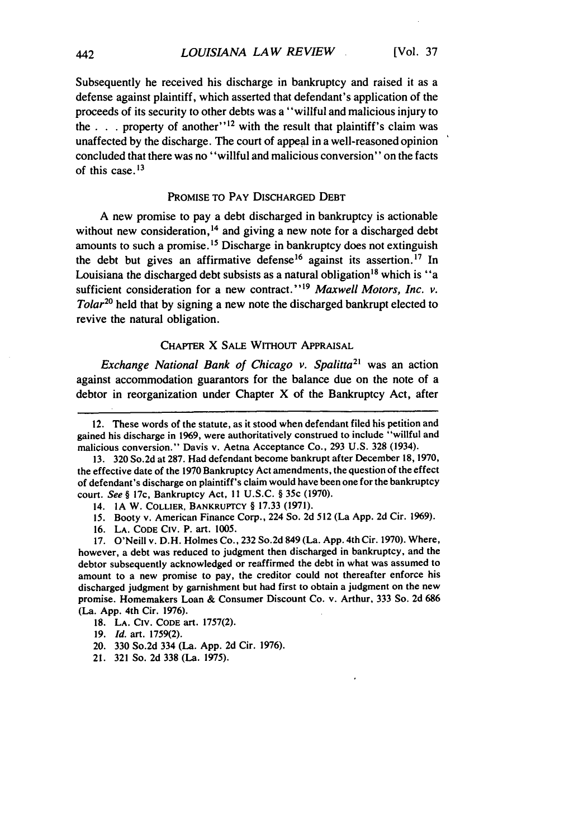Subsequently **he** received his discharge in bankruptcy and raised it as a defense against plaintiff, which asserted that defendant's application of the proceeds of its security to other debts was a "willful and malicious injury to the  $\cdot$   $\cdot$  **.** property of another"<sup>12</sup> with the result that plaintiff's claim was unaffected **by** the discharge. The court of appeal in a well-reasoned opinion concluded that there was no "willful and malicious conversion" on the facts of this case. **13**

#### PROMISE TO PAY DISCHARGED DEBT

**A** new promise to pay a debt discharged in bankruptcy is actionable without new consideration,<sup>14</sup> and giving a new note for a discharged debt amounts to such a promise. **1 <sup>5</sup>**Discharge in bankruptcy does not extinguish the debt but gives an affirmative defense<sup>16</sup> against its assertion.<sup>17</sup> In Louisiana the discharged debt subsists as a natural obligation<sup>18</sup> which is "a sufficient consideration for a new contract."<sup>19</sup> Maxwell Motors, Inc. v. *Tolar*<sup>20</sup> held that by signing a new note the discharged bankrupt elected to revive the natural obligation.

#### CHAPTER X SALE WITHOUT APPRAISAL

Exchange National Bank of Chicago v. Spalitta*<sup>2</sup>*' was an action against accommodation guarantors for the balance due on the note of a debtor in reorganization under Chapter X of the Bankruptcy Act, after

16. LA. **CODE** CIV. P. art. 1005.

- 20. 330 So.2d 334 (La. App. 2d Cir. 1976).
- 21. 321 So. 2d **338** (La. 1975).

<sup>12.</sup> These words of the statute, as it stood when defendant filed his petition and gained his discharge in 1969, were authoritatively construed to include "willful and malicious conversion." Davis v. Aetna Acceptance Co., 293 U.S. 328 (1934).

<sup>13. 320</sup> So.2d at 287. Had defendant become bankrupt after December 18, 1970, the effective date of the 1970 Bankruptcy Act amendments, the question of the effect of defendant's discharge on plaintiff's claim would have been one for the bankruptcy court. *See §* 17c, Bankruptcy Act, **II** U.S.C. § 35c (1970).

<sup>14.</sup> IA W. COLLIER, BANKRUPTCY § 17.33 (1971).

<sup>15.</sup> Booty v. American Finance Corp., 224 So. 2d 512 (La App. 2d Cir. 1969).

<sup>17.</sup> O'Neill v. D.H. Holmes Co., 232 So.2d 849 (La. App. 4th Cir. 1970). Where, however, a debt was reduced to judgment then discharged in bankruptcy, and the debtor subsequently acknowledged or reaffirmed the debt in what was assumed to amount to a new promise to pay, the creditor could not thereafter enforce his discharged judgment by garnishment but had first to obtain a judgment on the new promise. Homemakers Loan & Consumer Discount Co. v. Arthur, **333** So. 2d 686 (La. App. 4th Cir. 1976).

<sup>18.</sup> **LA.** CIv. **CODE** art. 1757(2).

<sup>19.</sup> *Id.* art. 1759(2).